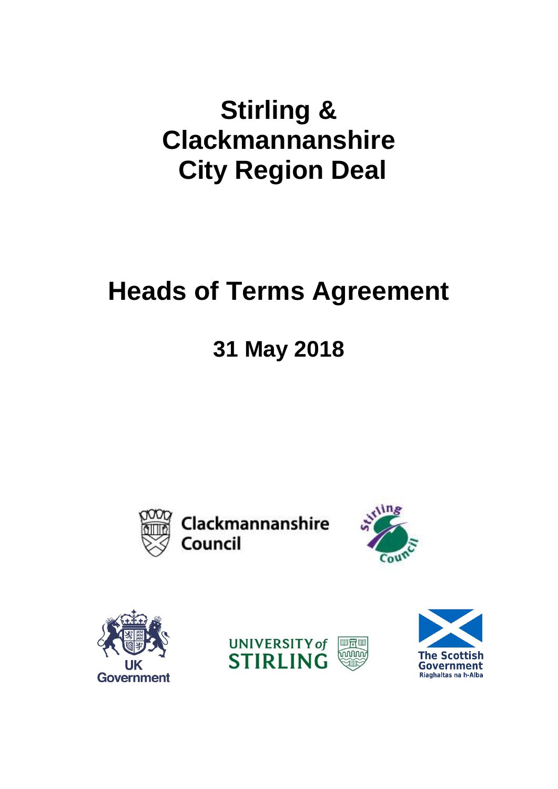# **Stirling & Clackmannanshire City Region Deal**

# **Heads of Terms Agreement**

# **31 May 2018**



Clackmannanshire Council







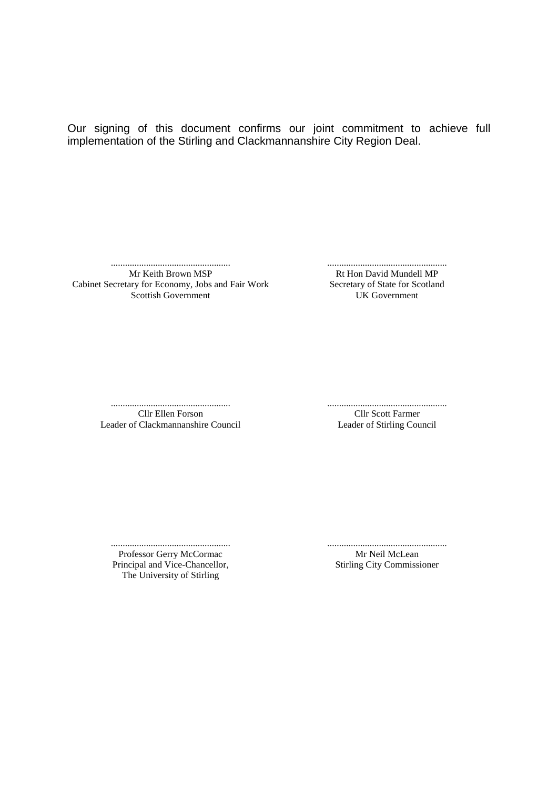Our signing of this document confirms our joint commitment to achieve full implementation of the Stirling and Clackmannanshire City Region Deal.

................................................... Mr Keith Brown MSP Cabinet Secretary for Economy, Jobs and Fair Work Secretary of State for Scotland Scottish Government

................................................... Rt Hon David Mundell MP UK Government

................................................... Cllr Ellen Forson Leader of Clackmannanshire Council ................................................... Cllr Scott Farmer Leader of Stirling Council

................................................... Professor Gerry McCormac Principal and Vice-Chancellor, The University of Stirling

................................................... Mr Neil McLean Stirling City Commissioner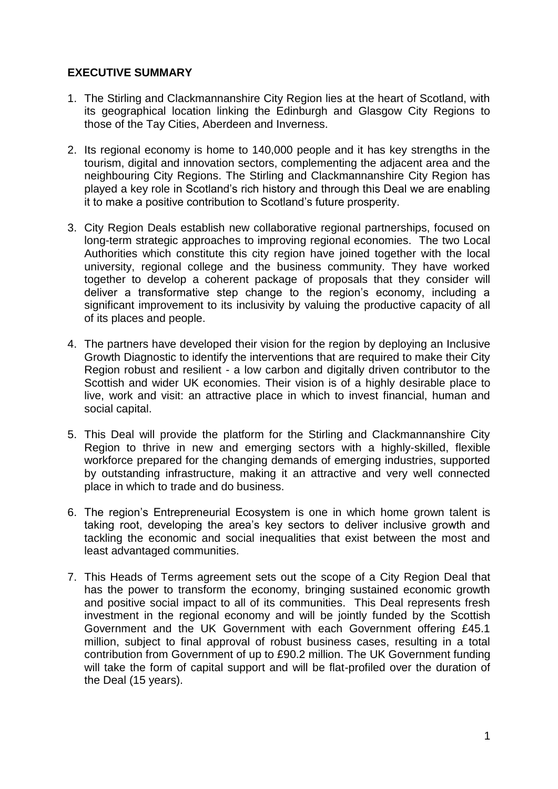# **EXECUTIVE SUMMARY**

- 1. The Stirling and Clackmannanshire City Region lies at the heart of Scotland, with its geographical location linking the Edinburgh and Glasgow City Regions to those of the Tay Cities, Aberdeen and Inverness.
- 2. Its regional economy is home to 140,000 people and it has key strengths in the tourism, digital and innovation sectors, complementing the adjacent area and the neighbouring City Regions. The Stirling and Clackmannanshire City Region has played a key role in Scotland's rich history and through this Deal we are enabling it to make a positive contribution to Scotland's future prosperity.
- 3. City Region Deals establish new collaborative regional partnerships, focused on long-term strategic approaches to improving regional economies. The two Local Authorities which constitute this city region have joined together with the local university, regional college and the business community. They have worked together to develop a coherent package of proposals that they consider will deliver a transformative step change to the region's economy, including a significant improvement to its inclusivity by valuing the productive capacity of all of its places and people.
- 4. The partners have developed their vision for the region by deploying an Inclusive Growth Diagnostic to identify the interventions that are required to make their City Region robust and resilient - a low carbon and digitally driven contributor to the Scottish and wider UK economies. Their vision is of a highly desirable place to live, work and visit: an attractive place in which to invest financial, human and social capital.
- 5. This Deal will provide the platform for the Stirling and Clackmannanshire City Region to thrive in new and emerging sectors with a highly-skilled, flexible workforce prepared for the changing demands of emerging industries, supported by outstanding infrastructure, making it an attractive and very well connected place in which to trade and do business.
- 6. The region's Entrepreneurial Ecosystem is one in which home grown talent is taking root, developing the area's key sectors to deliver inclusive growth and tackling the economic and social inequalities that exist between the most and least advantaged communities.
- 7. This Heads of Terms agreement sets out the scope of a City Region Deal that has the power to transform the economy, bringing sustained economic growth and positive social impact to all of its communities. This Deal represents fresh investment in the regional economy and will be jointly funded by the Scottish Government and the UK Government with each Government offering £45.1 million, subject to final approval of robust business cases, resulting in a total contribution from Government of up to £90.2 million. The UK Government funding will take the form of capital support and will be flat-profiled over the duration of the Deal (15 years).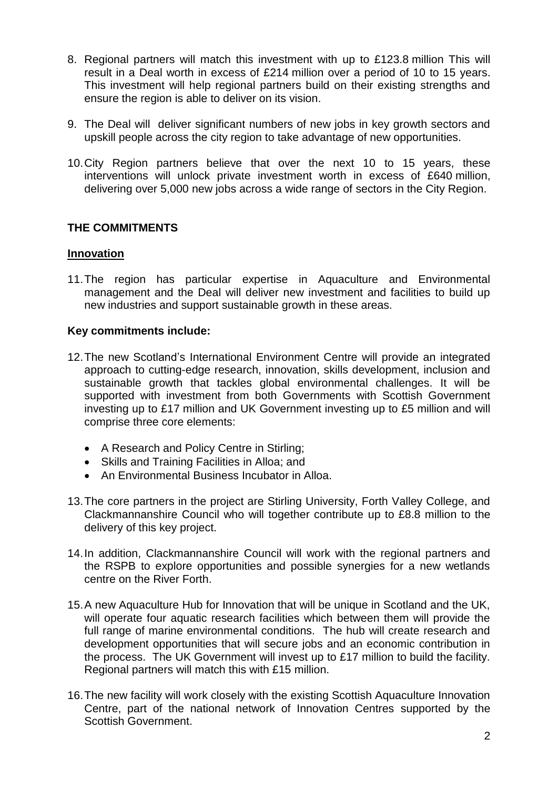- 8. Regional partners will match this investment with up to £123.8 million This will result in a Deal worth in excess of £214 million over a period of 10 to 15 years. This investment will help regional partners build on their existing strengths and ensure the region is able to deliver on its vision.
- 9. The Deal will deliver significant numbers of new jobs in key growth sectors and upskill people across the city region to take advantage of new opportunities.
- 10.City Region partners believe that over the next 10 to 15 years, these interventions will unlock private investment worth in excess of £640 million, delivering over 5,000 new jobs across a wide range of sectors in the City Region.

# **THE COMMITMENTS**

#### **Innovation**

11.The region has particular expertise in Aquaculture and Environmental management and the Deal will deliver new investment and facilities to build up new industries and support sustainable growth in these areas.

#### **Key commitments include:**

- 12.The new Scotland's International Environment Centre will provide an integrated approach to cutting-edge research, innovation, skills development, inclusion and sustainable growth that tackles global environmental challenges. It will be supported with investment from both Governments with Scottish Government investing up to £17 million and UK Government investing up to £5 million and will comprise three core elements:
	- A Research and Policy Centre in Stirling;
	- Skills and Training Facilities in Alloa; and
	- An Environmental Business Incubator in Alloa.
- 13.The core partners in the project are Stirling University, Forth Valley College, and Clackmannanshire Council who will together contribute up to £8.8 million to the delivery of this key project.
- 14.In addition, Clackmannanshire Council will work with the regional partners and the RSPB to explore opportunities and possible synergies for a new wetlands centre on the River Forth.
- 15.A new Aquaculture Hub for Innovation that will be unique in Scotland and the UK, will operate four aquatic research facilities which between them will provide the full range of marine environmental conditions. The hub will create research and development opportunities that will secure jobs and an economic contribution in the process. The UK Government will invest up to £17 million to build the facility. Regional partners will match this with £15 million.
- 16.The new facility will work closely with the existing Scottish Aquaculture Innovation Centre, part of the national network of Innovation Centres supported by the Scottish Government.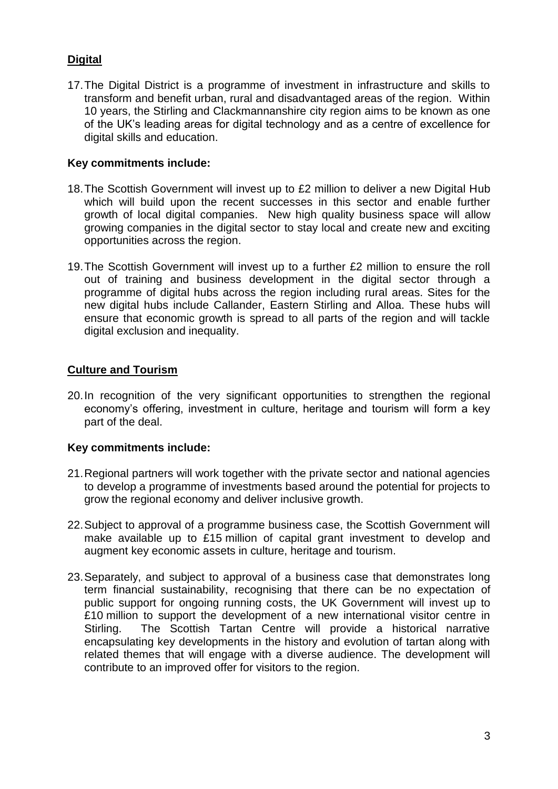# **Digital**

17.The Digital District is a programme of investment in infrastructure and skills to transform and benefit urban, rural and disadvantaged areas of the region. Within 10 years, the Stirling and Clackmannanshire city region aims to be known as one of the UK's leading areas for digital technology and as a centre of excellence for digital skills and education.

# **Key commitments include:**

- 18.The Scottish Government will invest up to £2 million to deliver a new Digital Hub which will build upon the recent successes in this sector and enable further growth of local digital companies. New high quality business space will allow growing companies in the digital sector to stay local and create new and exciting opportunities across the region.
- 19.The Scottish Government will invest up to a further £2 million to ensure the roll out of training and business development in the digital sector through a programme of digital hubs across the region including rural areas. Sites for the new digital hubs include Callander, Eastern Stirling and Alloa. These hubs will ensure that economic growth is spread to all parts of the region and will tackle digital exclusion and inequality.

# **Culture and Tourism**

20.In recognition of the very significant opportunities to strengthen the regional economy's offering, investment in culture, heritage and tourism will form a key part of the deal.

# **Key commitments include:**

- 21.Regional partners will work together with the private sector and national agencies to develop a programme of investments based around the potential for projects to grow the regional economy and deliver inclusive growth.
- 22.Subject to approval of a programme business case, the Scottish Government will make available up to £15 million of capital grant investment to develop and augment key economic assets in culture, heritage and tourism.
- 23.Separately, and subject to approval of a business case that demonstrates long term financial sustainability, recognising that there can be no expectation of public support for ongoing running costs, the UK Government will invest up to £10 million to support the development of a new international visitor centre in Stirling. The Scottish Tartan Centre will provide a historical narrative encapsulating key developments in the history and evolution of tartan along with related themes that will engage with a diverse audience. The development will contribute to an improved offer for visitors to the region.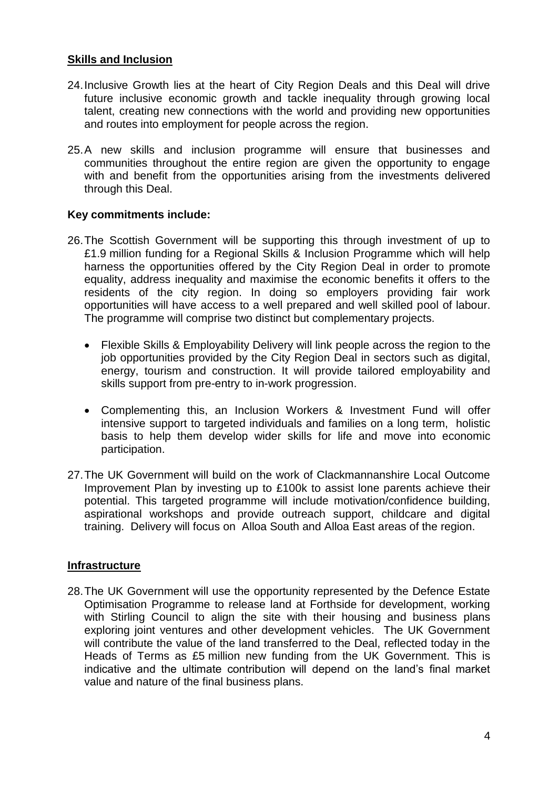### **Skills and Inclusion**

- 24.Inclusive Growth lies at the heart of City Region Deals and this Deal will drive future inclusive economic growth and tackle inequality through growing local talent, creating new connections with the world and providing new opportunities and routes into employment for people across the region.
- 25.A new skills and inclusion programme will ensure that businesses and communities throughout the entire region are given the opportunity to engage with and benefit from the opportunities arising from the investments delivered through this Deal.

# **Key commitments include:**

- 26.The Scottish Government will be supporting this through investment of up to £1.9 million funding for a Regional Skills & Inclusion Programme which will help harness the opportunities offered by the City Region Deal in order to promote equality, address inequality and maximise the economic benefits it offers to the residents of the city region. In doing so employers providing fair work opportunities will have access to a well prepared and well skilled pool of labour. The programme will comprise two distinct but complementary projects.
	- Flexible Skills & Employability Delivery will link people across the region to the job opportunities provided by the City Region Deal in sectors such as digital, energy, tourism and construction. It will provide tailored employability and skills support from pre-entry to in-work progression.
	- Complementing this, an Inclusion Workers & Investment Fund will offer intensive support to targeted individuals and families on a long term, holistic basis to help them develop wider skills for life and move into economic participation.
- 27.The UK Government will build on the work of Clackmannanshire Local Outcome Improvement Plan by investing up to £100k to assist lone parents achieve their potential. This targeted programme will include motivation/confidence building, aspirational workshops and provide outreach support, childcare and digital training. Delivery will focus on Alloa South and Alloa East areas of the region.

#### **Infrastructure**

28.The UK Government will use the opportunity represented by the Defence Estate Optimisation Programme to release land at Forthside for development, working with Stirling Council to align the site with their housing and business plans exploring joint ventures and other development vehicles. The UK Government will contribute the value of the land transferred to the Deal, reflected today in the Heads of Terms as £5 million new funding from the UK Government. This is indicative and the ultimate contribution will depend on the land's final market value and nature of the final business plans.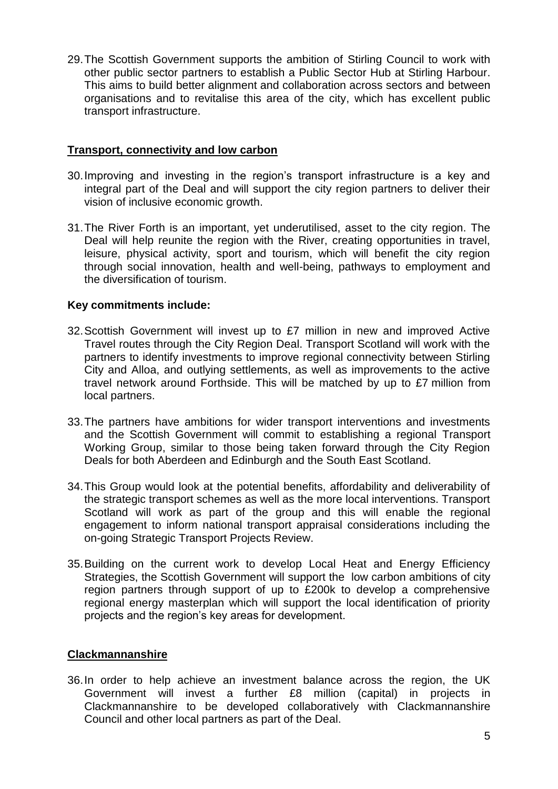29.The Scottish Government supports the ambition of Stirling Council to work with other public sector partners to establish a Public Sector Hub at Stirling Harbour. This aims to build better alignment and collaboration across sectors and between organisations and to revitalise this area of the city, which has excellent public transport infrastructure.

### **Transport, connectivity and low carbon**

- 30.Improving and investing in the region's transport infrastructure is a key and integral part of the Deal and will support the city region partners to deliver their vision of inclusive economic growth.
- 31.The River Forth is an important, yet underutilised, asset to the city region. The Deal will help reunite the region with the River, creating opportunities in travel, leisure, physical activity, sport and tourism, which will benefit the city region through social innovation, health and well-being, pathways to employment and the diversification of tourism.

# **Key commitments include:**

- 32.Scottish Government will invest up to £7 million in new and improved Active Travel routes through the City Region Deal. Transport Scotland will work with the partners to identify investments to improve regional connectivity between Stirling City and Alloa, and outlying settlements, as well as improvements to the active travel network around Forthside. This will be matched by up to £7 million from local partners.
- 33.The partners have ambitions for wider transport interventions and investments and the Scottish Government will commit to establishing a regional Transport Working Group, similar to those being taken forward through the City Region Deals for both Aberdeen and Edinburgh and the South East Scotland.
- 34.This Group would look at the potential benefits, affordability and deliverability of the strategic transport schemes as well as the more local interventions. Transport Scotland will work as part of the group and this will enable the regional engagement to inform national transport appraisal considerations including the on-going Strategic Transport Projects Review.
- 35.Building on the current work to develop Local Heat and Energy Efficiency Strategies, the Scottish Government will support the low carbon ambitions of city region partners through support of up to £200k to develop a comprehensive regional energy masterplan which will support the local identification of priority projects and the region's key areas for development.

#### **Clackmannanshire**

36.In order to help achieve an investment balance across the region, the UK Government will invest a further £8 million (capital) in projects in Clackmannanshire to be developed collaboratively with Clackmannanshire Council and other local partners as part of the Deal.